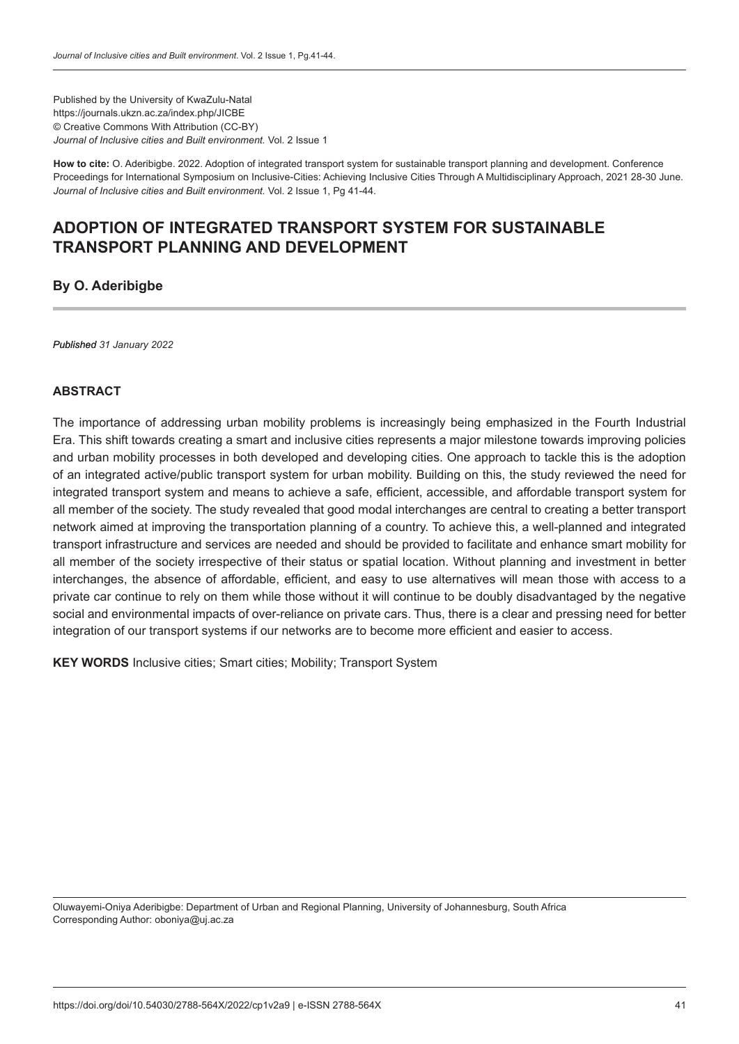Published by the University of KwaZulu-Natal https://journals.ukzn.ac.za/index.php/JICBE © Creative Commons With Attribution (CC-BY) *Journal of Inclusive cities and Built environment.* Vol. 2 Issue 1

**How to cite:** O. Aderibigbe. 2022. Adoption of integrated transport system for sustainable transport planning and development. Conference Proceedings for International Symposium on Inclusive-Cities: Achieving Inclusive Cities Through A Multidisciplinary Approach, 2021 28-30 June. *Journal of Inclusive cities and Built environment.* Vol. 2 Issue 1, Pg 41-44.

# **ADOPTION OF INTEGRATED TRANSPORT SYSTEM FOR SUSTAINABLE TRANSPORT PLANNING AND DEVELOPMENT**

# **By O. Aderibigbe**

*Published 31 January 2022*

# **ABSTRACT**

The importance of addressing urban mobility problems is increasingly being emphasized in the Fourth Industrial Era. This shift towards creating a smart and inclusive cities represents a major milestone towards improving policies and urban mobility processes in both developed and developing cities. One approach to tackle this is the adoption of an integrated active/public transport system for urban mobility. Building on this, the study reviewed the need for integrated transport system and means to achieve a safe, efficient, accessible, and affordable transport system for all member of the society. The study revealed that good modal interchanges are central to creating a better transport network aimed at improving the transportation planning of a country. To achieve this, a well-planned and integrated transport infrastructure and services are needed and should be provided to facilitate and enhance smart mobility for all member of the society irrespective of their status or spatial location. Without planning and investment in better interchanges, the absence of affordable, efficient, and easy to use alternatives will mean those with access to a private car continue to rely on them while those without it will continue to be doubly disadvantaged by the negative social and environmental impacts of over-reliance on private cars. Thus, there is a clear and pressing need for better integration of our transport systems if our networks are to become more efficient and easier to access.

**KEY WORDS** Inclusive cities: Smart cities: Mobility: Transport System

Oluwayemi-Oniya Aderibigbe: Department of Urban and Regional Planning, University of Johannesburg, South Africa Corresponding Author: oboniya@uj.ac.za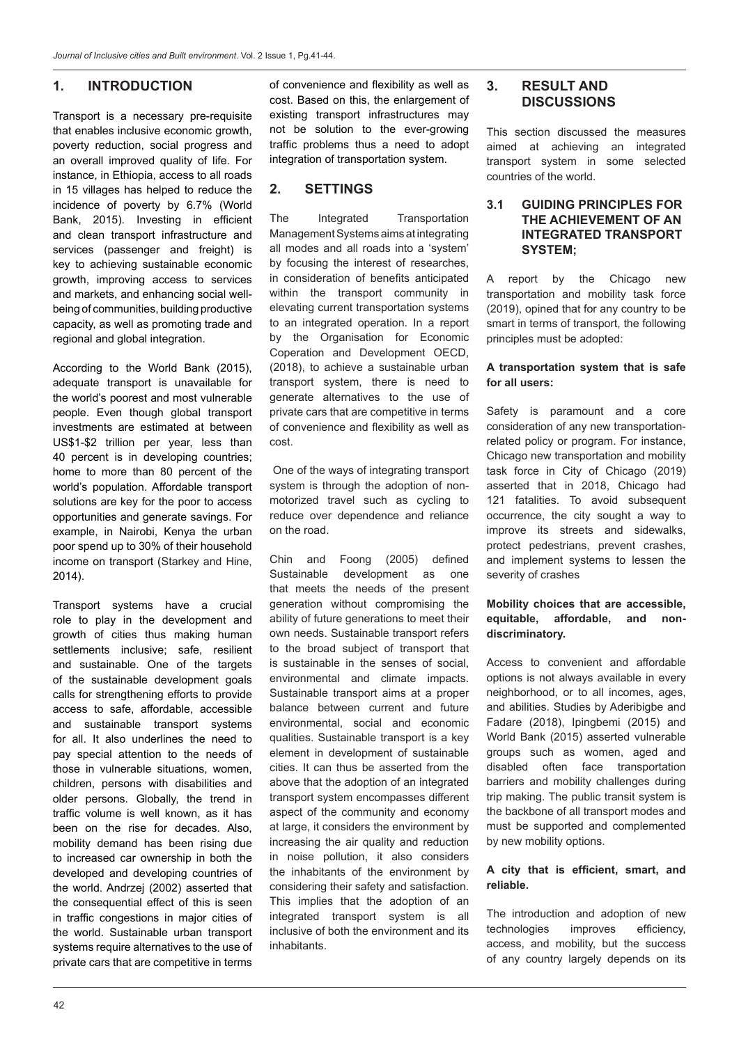# **1. INTRODUCTION**

Transport is a necessary pre-requisite that enables inclusive economic growth, poverty reduction, social progress and an overall improved quality of life. For instance, in Ethiopia, access to all roads in 15 villages has helped to reduce the incidence of poverty by 6.7% (World Bank, 2015). Investing in efficient and clean transport infrastructure and services (passenger and freight) is key to achieving sustainable economic growth, improving access to services and markets, and enhancing social wellbeing of communities, building productive capacity, as well as promoting trade and regional and global integration.

According to the World Bank (2015), adequate transport is unavailable for the world's poorest and most vulnerable people. Even though global transport investments are estimated at between US\$1-\$2 trillion per year, less than 40 percent is in developing countries; home to more than 80 percent of the world's population. Affordable transport solutions are key for the poor to access opportunities and generate savings. For example, in Nairobi, Kenya the urban poor spend up to 30% of their household income on transport (Starkey and Hine, 2014).

Transport systems have a crucial role to play in the development and growth of cities thus making human settlements inclusive; safe, resilient and sustainable. One of the targets of the sustainable development goals calls for strengthening efforts to provide access to safe, affordable, accessible and sustainable transport systems for all. It also underlines the need to pay special attention to the needs of those in vulnerable situations, women, children, persons with disabilities and older persons. Globally, the trend in traffic volume is well known, as it has been on the rise for decades. Also, mobility demand has been rising due to increased car ownership in both the developed and developing countries of the world. Andrzej (2002) asserted that the consequential effect of this is seen in traffic congestions in major cities of the world. Sustainable urban transport systems require alternatives to the use of private cars that are competitive in terms of convenience and flexibility as well as cost. Based on this, the enlargement of existing transport infrastructures may not be solution to the ever-growing traffic problems thus a need to adopt integration of transportation system.

# **2. SETTINGS**

The Integrated Transportation Management Systems aims at integrating all modes and all roads into a 'system' by focusing the interest of researches, in consideration of benefits anticipated within the transport community in elevating current transportation systems to an integrated operation. In a report by the Organisation for Economic Coperation and Development OECD, (2018), to achieve a sustainable urban transport system, there is need to generate alternatives to the use of private cars that are competitive in terms of convenience and flexibility as well as cost.

 One of the ways of integrating transport system is through the adoption of nonmotorized travel such as cycling to reduce over dependence and reliance on the road.

Chin and Foong (2005) defined Sustainable development as one that meets the needs of the present generation without compromising the ability of future generations to meet their own needs. Sustainable transport refers to the broad subject of transport that is sustainable in the senses of social, environmental and climate impacts. Sustainable transport aims at a proper balance between current and future environmental, social and economic qualities. Sustainable transport is a key element in development of sustainable cities. It can thus be asserted from the above that the adoption of an integrated transport system encompasses different aspect of the community and economy at large, it considers the environment by increasing the air quality and reduction in noise pollution, it also considers the inhabitants of the environment by considering their safety and satisfaction. This implies that the adoption of an integrated transport system is all inclusive of both the environment and its inhabitants.

# **3. RESULT AND DISCUSSIONS**

This section discussed the measures aimed at achieving an integrated transport system in some selected countries of the world.

#### **3.1 GUIDING PRINCIPLES FOR THE ACHIEVEMENT OF AN INTEGRATED TRANSPORT SYSTEM;**

A report by the Chicago new transportation and mobility task force (2019), opined that for any country to be smart in terms of transport, the following principles must be adopted:

#### **A transportation system that is safe for all users:**

Safety is paramount and a core consideration of any new transportationrelated policy or program. For instance, Chicago new transportation and mobility task force in City of Chicago (2019) asserted that in 2018, Chicago had 121 fatalities. To avoid subsequent occurrence, the city sought a way to improve its streets and sidewalks, protect pedestrians, prevent crashes, and implement systems to lessen the severity of crashes

#### **Mobility choices that are accessible, equitable, affordable, and nondiscriminatory.**

Access to convenient and affordable options is not always available in every neighborhood, or to all incomes, ages, and abilities. Studies by Aderibigbe and Fadare (2018), Ipingbemi (2015) and World Bank (2015) asserted vulnerable groups such as women, aged and disabled often face transportation barriers and mobility challenges during trip making. The public transit system is the backbone of all transport modes and must be supported and complemented by new mobility options.

#### **A city that is efficient, smart, and reliable.**

The introduction and adoption of new technologies improves efficiency, access, and mobility, but the success of any country largely depends on its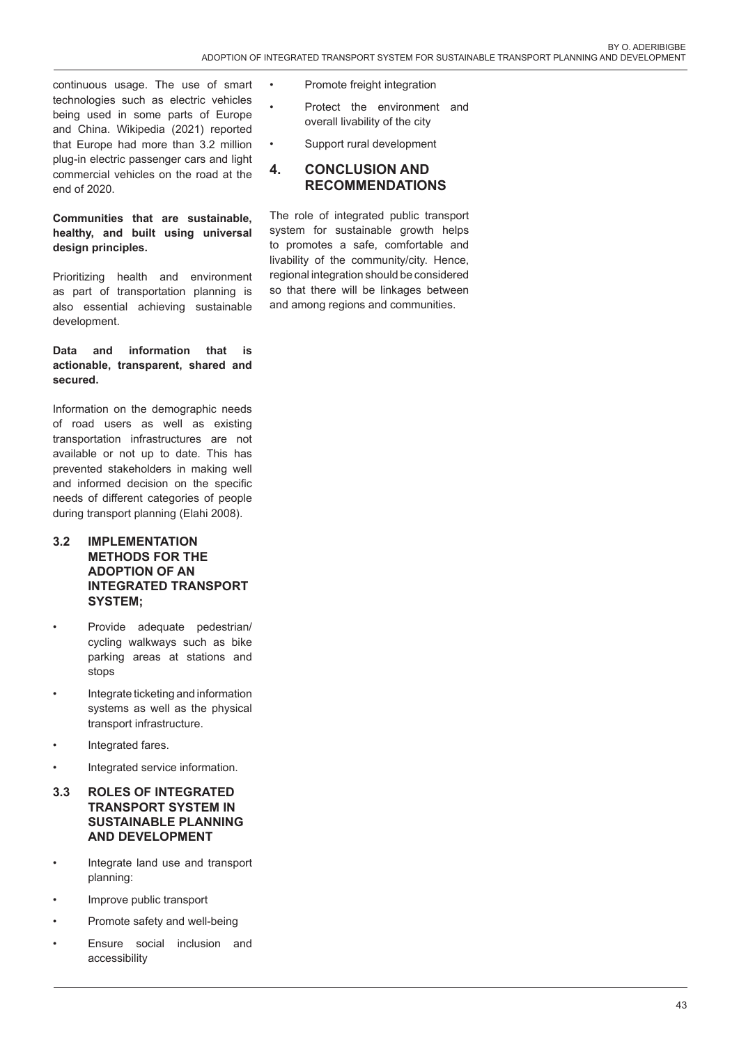continuous usage. The use of smart technologies such as electric vehicles being used in some parts of Europe and China. Wikipedia (2021) reported that Europe had more than 3.2 million plug-in electric passenger cars and light commercial vehicles on the road at the end of 2020.

# **Communities that are sustainable, healthy, and built using universal design principles.**

Prioritizing health and environment as part of transportation planning is also essential achieving sustainable development.

### **Data and information that is actionable, transparent, shared and secured.**

Information on the demographic needs of road users as well as existing transportation infrastructures are not available or not up to date. This has prevented stakeholders in making well and informed decision on the specific needs of different categories of people during transport planning (Elahi 2008).

### **3.2 IMPLEMENTATION METHODS FOR THE ADOPTION OF AN INTEGRATED TRANSPORT SYSTEM;**

- Provide adequate pedestrian/ cycling walkways such as bike parking areas at stations and stops
- Integrate ticketing and information systems as well as the physical transport infrastructure.
- Integrated fares.
- Integrated service information.

## **3.3 ROLES OF INTEGRATED TRANSPORT SYSTEM IN SUSTAINABLE PLANNING AND DEVELOPMENT**

- Integrate land use and transport planning:
- Improve public transport
- Promote safety and well-being
- Ensure social inclusion and accessibility
- Promote freight integration
- Protect the environment and overall livability of the city
- Support rural development

# **4. CONCLUSION AND RECOMMENDATIONS**

The role of integrated public transport system for sustainable growth helps to promotes a safe, comfortable and livability of the community/city. Hence, regional integration should be considered so that there will be linkages between and among regions and communities.